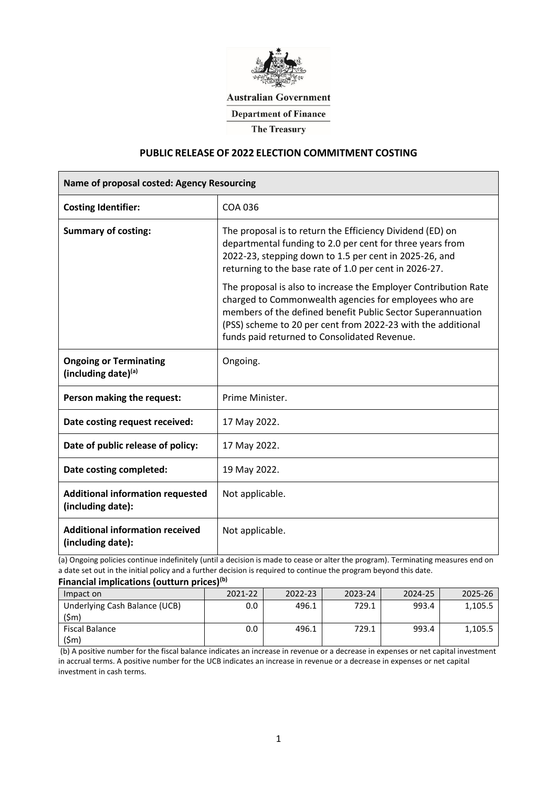

**Australian Government** 

**Department of Finance** 

**The Treasury** 

### **PUBLIC RELEASE OF 2022 ELECTION COMMITMENT COSTING**

| Name of proposal costed: Agency Resourcing                   |                                                                                                                                                                                                                                                                                                          |  |  |  |  |
|--------------------------------------------------------------|----------------------------------------------------------------------------------------------------------------------------------------------------------------------------------------------------------------------------------------------------------------------------------------------------------|--|--|--|--|
| <b>Costing Identifier:</b>                                   | <b>COA 036</b>                                                                                                                                                                                                                                                                                           |  |  |  |  |
| <b>Summary of costing:</b>                                   | The proposal is to return the Efficiency Dividend (ED) on<br>departmental funding to 2.0 per cent for three years from<br>2022-23, stepping down to 1.5 per cent in 2025-26, and<br>returning to the base rate of 1.0 per cent in 2026-27.                                                               |  |  |  |  |
|                                                              | The proposal is also to increase the Employer Contribution Rate<br>charged to Commonwealth agencies for employees who are<br>members of the defined benefit Public Sector Superannuation<br>(PSS) scheme to 20 per cent from 2022-23 with the additional<br>funds paid returned to Consolidated Revenue. |  |  |  |  |
| <b>Ongoing or Terminating</b><br>(including date)(a)         | Ongoing.                                                                                                                                                                                                                                                                                                 |  |  |  |  |
| Person making the request:                                   | Prime Minister.                                                                                                                                                                                                                                                                                          |  |  |  |  |
| Date costing request received:                               | 17 May 2022.                                                                                                                                                                                                                                                                                             |  |  |  |  |
| Date of public release of policy:                            | 17 May 2022.                                                                                                                                                                                                                                                                                             |  |  |  |  |
| Date costing completed:                                      | 19 May 2022.                                                                                                                                                                                                                                                                                             |  |  |  |  |
| <b>Additional information requested</b><br>(including date): | Not applicable.                                                                                                                                                                                                                                                                                          |  |  |  |  |
| <b>Additional information received</b><br>(including date):  | Not applicable.                                                                                                                                                                                                                                                                                          |  |  |  |  |

(a) Ongoing policies continue indefinitely (until a decision is made to cease or alter the program). Terminating measures end on a date set out in the initial policy and a further decision is required to continue the program beyond this date.

#### **Financial implications (outturn prices)(b)**

| Impact on                                          | 2021-22 | 2022-23 | 2023-24 | 2024-25 | 2025-26 |
|----------------------------------------------------|---------|---------|---------|---------|---------|
| Underlying Cash Balance (UCB)<br>(5 <sub>m</sub> ) |         | 196.1   | '29.1   | 193 4   |         |
| Fiscal Balance<br>(Sm                              |         | I96.1   | '29.1   |         |         |

(b) A positive number for the fiscal balance indicates an increase in revenue or a decrease in expenses or net capital investment in accrual terms. A positive number for the UCB indicates an increase in revenue or a decrease in expenses or net capital investment in cash terms.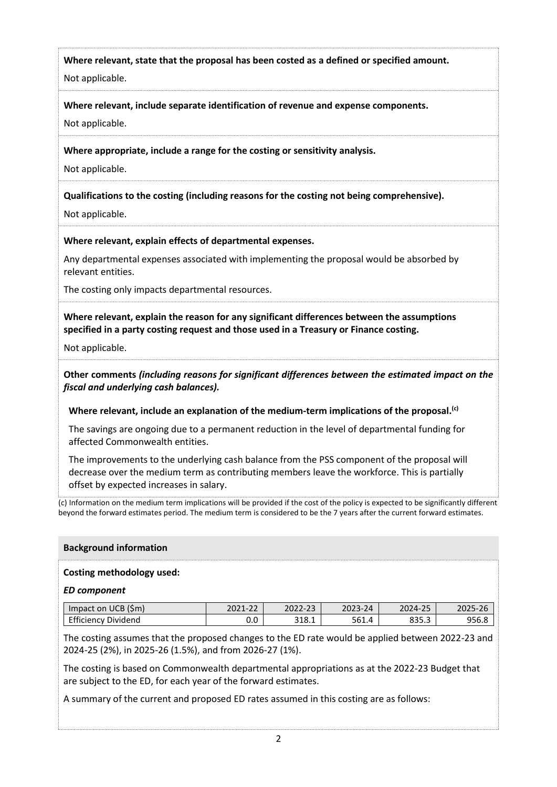**Where relevant, state that the proposal has been costed as a defined or specified amount.**

Not applicable.

**Where relevant, include separate identification of revenue and expense components.** 

Not applicable.

**Where appropriate, include a range for the costing or sensitivity analysis.**

Not applicable.

**Qualifications to the costing (including reasons for the costing not being comprehensive).**

Not applicable.

**Where relevant, explain effects of departmental expenses.**

Any departmental expenses associated with implementing the proposal would be absorbed by relevant entities.

The costing only impacts departmental resources.

**Where relevant, explain the reason for any significant differences between the assumptions specified in a party costing request and those used in a Treasury or Finance costing.**

Not applicable.

**Other comments** *(including reasons for significant differences between the estimated impact on the fiscal and underlying cash balances).*

**Where relevant, include an explanation of the medium-term implications of the proposal. (c)**

The savings are ongoing due to a permanent reduction in the level of departmental funding for affected Commonwealth entities.

The improvements to the underlying cash balance from the PSS component of the proposal will decrease over the medium term as contributing members leave the workforce. This is partially offset by expected increases in salary.

(c) Information on the medium term implications will be provided if the cost of the policy is expected to be significantly different beyond the forward estimates period. The medium term is considered to be the 7 years after the current forward estimates.

# **Background information**

# **Costing methodology used:**

### *ED component*

| (Sm)<br>Im<br>npact on<br>◡◡◡ | $\sim$ $\sim$<br><u>_ _</u> | $\sim$ $\sim$                     | $\Lambda$       | $\sim$ $\sim$ |  |
|-------------------------------|-----------------------------|-----------------------------------|-----------------|---------------|--|
| enu<br>د، ن                   | $\cap$ $\cap$<br>v.u        | $\overline{\phantom{a}}$<br>າ 1 ດ | $\prime$<br>nh. |               |  |

The costing assumes that the proposed changes to the ED rate would be applied between 2022-23 and 2024-25 (2%), in 2025-26 (1.5%), and from 2026-27 (1%).

The costing is based on Commonwealth departmental appropriations as at the 2022-23 Budget that are subject to the ED, for each year of the forward estimates.

A summary of the current and proposed ED rates assumed in this costing are as follows: